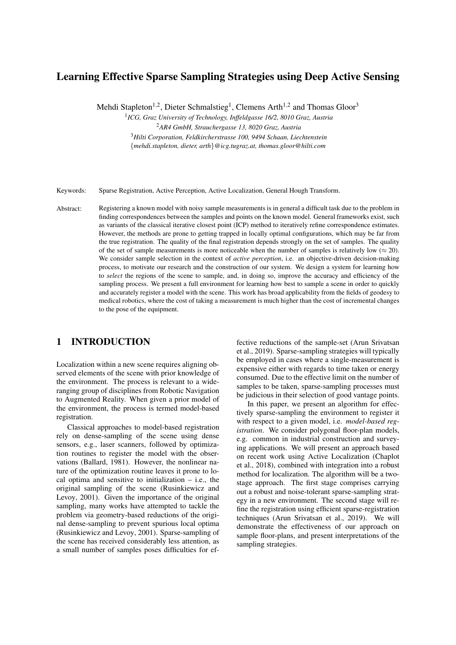# Learning Effective Sparse Sampling Strategies using Deep Active Sensing

Mehdi Stapleton<sup>1,2</sup>, Dieter Schmalstieg<sup>1</sup>, Clemens Arth<sup>1,2</sup> and Thomas Gloor<sup>3</sup>

1 *ICG, Graz University of Technology, Inffeldgasse 16/2, 8010 Graz, Austria* <sup>2</sup>*AR4 GmbH, Strauchergasse 13, 8020 Graz, Austria*

<sup>3</sup>*Hilti Corporation, Feldkircherstrasse 100, 9494 Schaan, Liechtenstein* {*mehdi.stapleton, dieter, arth*}*@icg.tugraz.at, thomas.gloor@hilti.com*

Keywords: Sparse Registration, Active Perception, Active Localization, General Hough Transform.

Abstract: Registering a known model with noisy sample measurements is in general a difficult task due to the problem in finding correspondences between the samples and points on the known model. General frameworks exist, such as variants of the classical iterative closest point (ICP) method to iteratively refine correspondence estimates. However, the methods are prone to getting trapped in locally optimal configurations, which may be far from the true registration. The quality of the final registration depends strongly on the set of samples. The quality of the set of sample measurements is more noticeable when the number of samples is relatively low ( $\approx$  20). We consider sample selection in the context of *active perception*, i.e. an objective-driven decision-making process, to motivate our research and the construction of our system. We design a system for learning how to *select* the regions of the scene to sample, and, in doing so, improve the accuracy and efficiency of the sampling process. We present a full environment for learning how best to sample a scene in order to quickly and accurately register a model with the scene. This work has broad applicability from the fields of geodesy to medical robotics, where the cost of taking a measurement is much higher than the cost of incremental changes to the pose of the equipment.

## 1 INTRODUCTION

Localization within a new scene requires aligning observed elements of the scene with prior knowledge of the environment. The process is relevant to a wideranging group of disciplines from Robotic Navigation to Augmented Reality. When given a prior model of the environment, the process is termed model-based registration.

Classical approaches to model-based registration rely on dense-sampling of the scene using dense sensors, e.g., laser scanners, followed by optimization routines to register the model with the observations (Ballard, 1981). However, the nonlinear nature of the optimization routine leaves it prone to local optima and sensitive to initialization  $-$  i.e., the original sampling of the scene (Rusinkiewicz and Levoy, 2001). Given the importance of the original sampling, many works have attempted to tackle the problem via geometry-based reductions of the original dense-sampling to prevent spurious local optima (Rusinkiewicz and Levoy, 2001). Sparse-sampling of the scene has received considerably less attention, as a small number of samples poses difficulties for ef-

fective reductions of the sample-set (Arun Srivatsan et al., 2019). Sparse-sampling strategies will typically be employed in cases where a single-measurement is expensive either with regards to time taken or energy consumed. Due to the effective limit on the number of samples to be taken, sparse-sampling processes must be judicious in their selection of good vantage points.

In this paper, we present an algorithm for effectively sparse-sampling the environment to register it with respect to a given model, i.e. *model-based registration*. We consider polygonal floor-plan models, e.g. common in industrial construction and surveying applications. We will present an approach based on recent work using Active Localization (Chaplot et al., 2018), combined with integration into a robust method for localization. The algorithm will be a twostage approach. The first stage comprises carrying out a robust and noise-tolerant sparse-sampling strategy in a new environment. The second stage will refine the registration using efficient sparse-registration techniques (Arun Srivatsan et al., 2019). We will demonstrate the effectiveness of our approach on sample floor-plans, and present interpretations of the sampling strategies.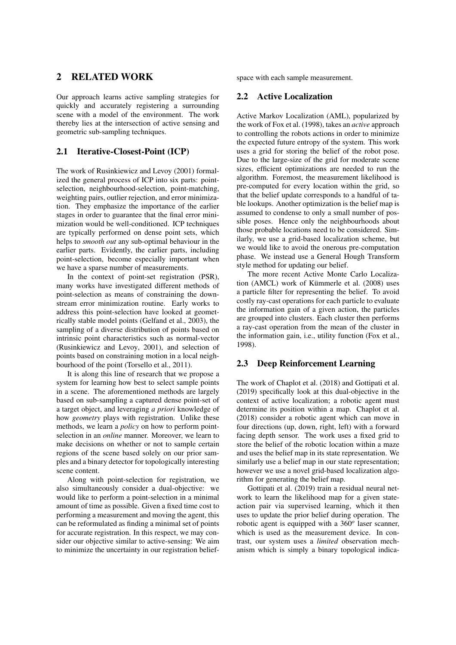## 2 RELATED WORK

Our approach learns active sampling strategies for quickly and accurately registering a surrounding scene with a model of the environment. The work thereby lies at the intersection of active sensing and geometric sub-sampling techniques.

### 2.1 Iterative-Closest-Point (ICP)

The work of Rusinkiewicz and Levoy (2001) formalized the general process of ICP into six parts: pointselection, neighbourhood-selection, point-matching, weighting pairs, outlier rejection, and error minimization. They emphasize the importance of the earlier stages in order to guarantee that the final error minimization would be well-conditioned. ICP techniques are typically performed on dense point sets, which helps to *smooth out* any sub-optimal behaviour in the earlier parts. Evidently, the earlier parts, including point-selection, become especially important when we have a sparse number of measurements.

In the context of point-set registration (PSR), many works have investigated different methods of point-selection as means of constraining the downstream error minimization routine. Early works to address this point-selection have looked at geometrically stable model points (Gelfand et al., 2003), the sampling of a diverse distribution of points based on intrinsic point characteristics such as normal-vector (Rusinkiewicz and Levoy, 2001), and selection of points based on constraining motion in a local neighbourhood of the point (Torsello et al., 2011).

It is along this line of research that we propose a system for learning how best to select sample points in a scene. The aforementioned methods are largely based on sub-sampling a captured dense point-set of a target object, and leveraging *a priori* knowledge of how *geometry* plays with registration. Unlike these methods, we learn a *policy* on how to perform pointselection in an *online* manner. Moreover, we learn to make decisions on whether or not to sample certain regions of the scene based solely on our prior samples and a binary detector for topologically interesting scene content.

Along with point-selection for registration, we also simultaneously consider a dual-objective: we would like to perform a point-selection in a minimal amount of time as possible. Given a fixed time cost to performing a measurement and moving the agent, this can be reformulated as finding a minimal set of points for accurate registration. In this respect, we may consider our objective similar to active-sensing: We aim to minimize the uncertainty in our registration beliefspace with each sample measurement.

#### 2.2 Active Localization

Active Markov Localization (AML), popularized by the work of Fox et al. (1998), takes an *active* approach to controlling the robots actions in order to minimize the expected future entropy of the system. This work uses a grid for storing the belief of the robot pose. Due to the large-size of the grid for moderate scene sizes, efficient optimizations are needed to run the algorithm. Foremost, the measurement likelihood is pre-computed for every location within the grid, so that the belief update corresponds to a handful of table lookups. Another optimization is the belief map is assumed to condense to only a small number of possible poses. Hence only the neighbourhoods about those probable locations need to be considered. Similarly, we use a grid-based localization scheme, but we would like to avoid the onerous pre-computation phase. We instead use a General Hough Transform style method for updating our belief.

The more recent Active Monte Carlo Localization (AMCL) work of Kümmerle et al.  $(2008)$  uses a particle filter for representing the belief. To avoid costly ray-cast operations for each particle to evaluate the information gain of a given action, the particles are grouped into clusters. Each cluster then performs a ray-cast operation from the mean of the cluster in the information gain, i.e., utility function (Fox et al., 1998).

#### 2.3 Deep Reinforcement Learning

The work of Chaplot et al. (2018) and Gottipati et al. (2019) specifically look at this dual-objective in the context of active localization; a robotic agent must determine its position within a map. Chaplot et al. (2018) consider a robotic agent which can move in four directions (up, down, right, left) with a forward facing depth sensor. The work uses a fixed grid to store the belief of the robotic location within a maze and uses the belief map in its state representation. We similarly use a belief map in our state representation; however we use a novel grid-based localization algorithm for generating the belief map.

Gottipati et al. (2019) train a residual neural network to learn the likelihood map for a given stateaction pair via supervised learning, which it then uses to update the prior belief during operation. The robotic agent is equipped with a 360*<sup>o</sup>* laser scanner, which is used as the measurement device. In contrast, our system uses a *limited* observation mechanism which is simply a binary topological indica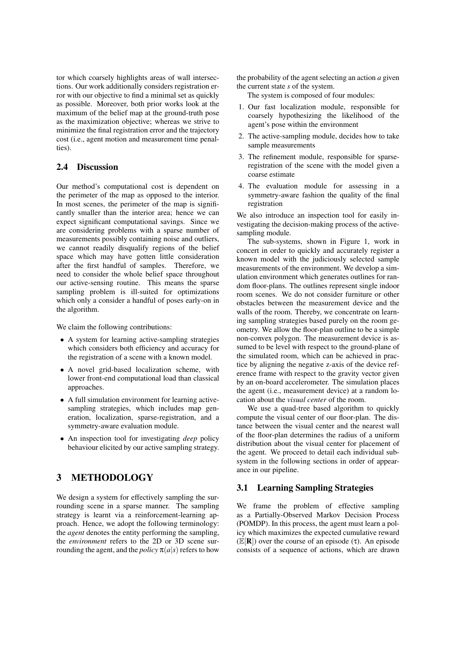tor which coarsely highlights areas of wall intersections. Our work additionally considers registration error with our objective to find a minimal set as quickly as possible. Moreover, both prior works look at the maximum of the belief map at the ground-truth pose as the maximization objective; whereas we strive to minimize the final registration error and the trajectory cost (i.e., agent motion and measurement time penalties).

#### 2.4 Discussion

Our method's computational cost is dependent on the perimeter of the map as opposed to the interior. In most scenes, the perimeter of the map is significantly smaller than the interior area; hence we can expect significant computational savings. Since we are considering problems with a sparse number of measurements possibly containing noise and outliers, we cannot readily disqualify regions of the belief space which may have gotten little consideration after the first handful of samples. Therefore, we need to consider the whole belief space throughout our active-sensing routine. This means the sparse sampling problem is ill-suited for optimizations which only a consider a handful of poses early-on in the algorithm.

We claim the following contributions:

- A system for learning active-sampling strategies which considers both efficiency and accuracy for the registration of a scene with a known model.
- A novel grid-based localization scheme, with lower front-end computational load than classical approaches.
- A full simulation environment for learning activesampling strategies, which includes map generation, localization, sparse-registration, and a symmetry-aware evaluation module.
- An inspection tool for investigating *deep* policy behaviour elicited by our active sampling strategy.

## 3 METHODOLOGY

We design a system for effectively sampling the surrounding scene in a sparse manner. The sampling strategy is learnt via a reinforcement-learning approach. Hence, we adopt the following terminology: the *agent* denotes the entity performing the sampling, the *environment* refers to the 2D or 3D scene surrounding the agent, and the *policy*  $\pi(a|s)$  refers to how the probability of the agent selecting an action *a* given the current state *s* of the system.

The system is composed of four modules:

- 1. Our fast localization module, responsible for coarsely hypothesizing the likelihood of the agent's pose within the environment
- 2. The active-sampling module, decides how to take sample measurements
- 3. The refinement module, responsible for sparseregistration of the scene with the model given a coarse estimate
- 4. The evaluation module for assessing in a symmetry-aware fashion the quality of the final registration

We also introduce an inspection tool for easily investigating the decision-making process of the activesampling module.

The sub-systems, shown in Figure 1, work in concert in order to quickly and accurately register a known model with the judiciously selected sample measurements of the environment. We develop a simulation environment which generates outlines for random floor-plans. The outlines represent single indoor room scenes. We do not consider furniture or other obstacles between the measurement device and the walls of the room. Thereby, we concentrate on learning sampling strategies based purely on the room geometry. We allow the floor-plan outline to be a simple non-convex polygon. The measurement device is assumed to be level with respect to the ground-plane of the simulated room, which can be achieved in practice by aligning the negative z-axis of the device reference frame with respect to the gravity vector given by an on-board accelerometer. The simulation places the agent (i.e., measurement device) at a random location about the *visual center* of the room.

We use a quad-tree based algorithm to quickly compute the visual center of our floor-plan. The distance between the visual center and the nearest wall of the floor-plan determines the radius of a uniform distribution about the visual center for placement of the agent. We proceed to detail each individual subsystem in the following sections in order of appearance in our pipeline.

#### 3.1 Learning Sampling Strategies

We frame the problem of effective sampling as a Partially-Observed Markov Decision Process (POMDP). In this process, the agent must learn a policy which maximizes the expected cumulative reward  $(\mathbb{E}[\mathbf{R}]$ ) over the course of an episode (τ). An episode consists of a sequence of actions, which are drawn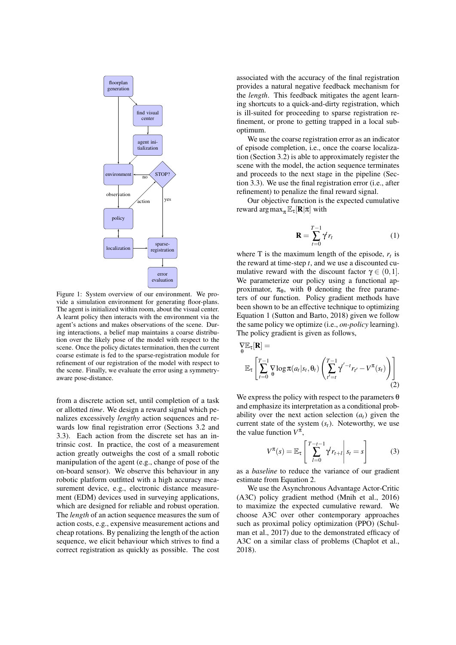

Figure 1: System overview of our environment. We provide a simulation environment for generating floor-plans. The agent is initialized within room, about the visual center. A learnt policy then interacts with the environment via the agent's actions and makes observations of the scene. During interactions, a belief map maintains a coarse distribution over the likely pose of the model with respect to the scene. Once the policy dictates termination, then the current coarse estimate is fed to the sparse-registration module for refinement of our registration of the model with respect to the scene. Finally, we evaluate the error using a symmetryaware pose-distance.

from a discrete action set, until completion of a task or allotted *time*. We design a reward signal which penalizes excessively *lengthy* action sequences and rewards low final registration error (Sections 3.2 and 3.3). Each action from the discrete set has an intrinsic cost. In practice, the cost of a measurement action greatly outweighs the cost of a small robotic manipulation of the agent (e.g., change of pose of the on-board sensor). We observe this behaviour in any robotic platform outfitted with a high accuracy measurement device, e.g., electronic distance measurement (EDM) devices used in surveying applications, which are designed for reliable and robust operation. The *length* of an action sequence measures the sum of action costs, e.g., expensive measurement actions and cheap rotations. By penalizing the length of the action sequence, we elicit behaviour which strives to find a correct registration as quickly as possible. The cost associated with the accuracy of the final registration provides a natural negative feedback mechanism for the *length*. This feedback mitigates the agent learning shortcuts to a quick-and-dirty registration, which is ill-suited for proceeding to sparse registration refinement, or prone to getting trapped in a local suboptimum.

We use the coarse registration error as an indicator of episode completion, i.e., once the coarse localization (Section 3.2) is able to approximately register the scene with the model, the action sequence terminates and proceeds to the next stage in the pipeline (Section 3.3). We use the final registration error (i.e., after refinement) to penalize the final reward signal.

Our objective function is the expected cumulative reward  $\arg \max_{\pi} \mathbb{E}_{\tau}[\mathbf{R}|\pi]$  with

$$
\mathbf{R} = \sum_{t=0}^{T-1} \gamma^t r_t \tag{1}
$$

where T is the maximum length of the episode,  $r_t$  is the reward at time-step  $t$ , and we use a discounted cumulative reward with the discount factor  $\gamma \in (0,1]$ . We parameterize our policy using a functional approximator,  $\pi_{\theta}$ , with  $\theta$  denoting the free parameters of our function. Policy gradient methods have been shown to be an effective technique to optimizing Equation 1 (Sutton and Barto, 2018) given we follow the same policy we optimize (i.e., *on-policy* learning). The policy gradient is given as follows,

$$
\nabla \mathbb{E}_{\tau}[\mathbf{R}] =
$$
  
\n
$$
\mathbb{E}_{\tau} \left[ \sum_{t=0}^{T-1} \nabla \log \pi(a_t | s_t, \theta_t) \left( \sum_{t'=t}^{T-1} \gamma^{t'-t} r_{t'} - V^{\pi}(s_t) \right) \right]
$$
  
\n(2)

 $\mathbf{r} = \mathbf{r}$ 

We express the policy with respect to the parameters  $\theta$ and emphasize its interpretation as a conditional probability over the next action selection  $(a_t)$  given the current state of the system  $(s_t)$ . Noteworthy, we use the value function  $V^{\pi}$ ,

$$
V^{\pi}(s) = \mathbb{E}_{\tau} \left[ \left. \sum_{l=0}^{T-t-1} \gamma^{l} r_{t+l} \right| s_{t} = s \right] \tag{3}
$$

as a *baseline* to reduce the variance of our gradient estimate from Equation 2.

We use the Asynchronous Advantage Actor-Critic (A3C) policy gradient method (Mnih et al., 2016) to maximize the expected cumulative reward. We choose A3C over other contemporary approaches such as proximal policy optimization (PPO) (Schulman et al., 2017) due to the demonstrated efficacy of A3C on a similar class of problems (Chaplot et al., 2018).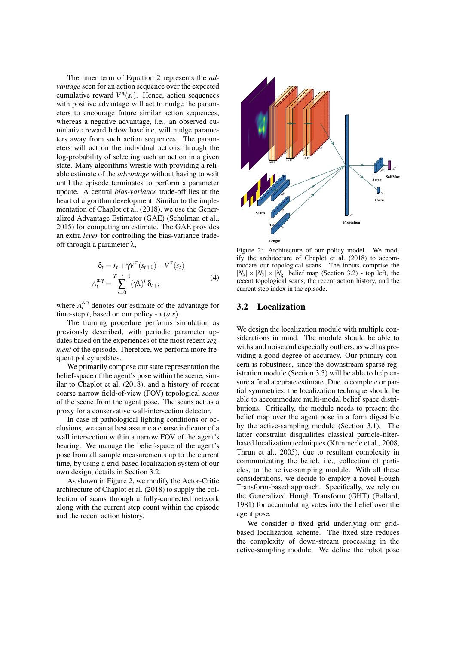The inner term of Equation 2 represents the *advantage* seen for an action sequence over the expected cumulative reward  $V^{\pi}(s_t)$ . Hence, action sequences with positive advantage will act to nudge the parameters to encourage future similar action sequences, whereas a negative advantage, i.e., an observed cumulative reward below baseline, will nudge parameters away from such action sequences. The parameters will act on the individual actions through the log-probability of selecting such an action in a given state. Many algorithms wrestle with providing a reliable estimate of the *advantage* without having to wait until the episode terminates to perform a parameter update. A central *bias-variance* trade-off lies at the heart of algorithm development. Similar to the implementation of Chaplot et al. (2018), we use the Generalized Advantage Estimator (GAE) (Schulman et al., 2015) for computing an estimate. The GAE provides an extra *lever* for controlling the bias-variance tradeoff through a parameter  $λ$ ,

$$
\delta_t = r_t + \gamma V^{\pi}(s_{t+1}) - V^{\pi}(s_t)
$$
  

$$
A_t^{\pi,\gamma} = \sum_{i=0}^{T-t-1} (\gamma \lambda)^i \delta_{t+i}
$$
 (4)

where  $A_t^{\pi, \gamma}$  denotes our estimate of the advantage for time-step *t*, based on our policy -  $\pi(a|s)$ .

The training procedure performs simulation as previously described, with periodic parameter updates based on the experiences of the most recent *segment* of the episode. Therefore, we perform more frequent policy updates.

We primarily compose our state representation the belief-space of the agent's pose within the scene, similar to Chaplot et al. (2018), and a history of recent coarse narrow field-of-view (FOV) topological *scans* of the scene from the agent pose. The scans act as a proxy for a conservative wall-intersection detector.

In case of pathological lighting conditions or occlusions, we can at best assume a coarse indicator of a wall intersection within a narrow FOV of the agent's bearing. We manage the belief-space of the agent's pose from all sample measurements up to the current time, by using a grid-based localization system of our own design, details in Section 3.2.

As shown in Figure 2, we modify the Actor-Critic architecture of Chaplot et al. (2018) to supply the collection of scans through a fully-connected network along with the current step count within the episode and the recent action history.



Figure 2: Architecture of our policy model. We modify the architecture of Chaplot et al. (2018) to accommodate our topological scans. The inputs comprise the  $|N_x| \times |N_y| \times |N_\xi|$  belief map (Section 3.2) - top left, the recent topological scans, the recent action history, and the current step index in the episode.

#### 3.2 Localization

We design the localization module with multiple considerations in mind. The module should be able to withstand noise and especially outliers, as well as providing a good degree of accuracy. Our primary concern is robustness, since the downstream sparse registration module (Section 3.3) will be able to help ensure a final accurate estimate. Due to complete or partial symmetries, the localization technique should be able to accommodate multi-modal belief space distributions. Critically, the module needs to present the belief map over the agent pose in a form digestible by the active-sampling module (Section 3.1). The latter constraint disqualifies classical particle-filterbased localization techniques (Kümmerle et al., 2008, Thrun et al., 2005), due to resultant complexity in communicating the belief, i.e., collection of particles, to the active-sampling module. With all these considerations, we decide to employ a novel Hough Transform-based approach. Specifically, we rely on the Generalized Hough Transform (GHT) (Ballard, 1981) for accumulating votes into the belief over the agent pose.

We consider a fixed grid underlying our gridbased localization scheme. The fixed size reduces the complexity of down-stream processing in the active-sampling module. We define the robot pose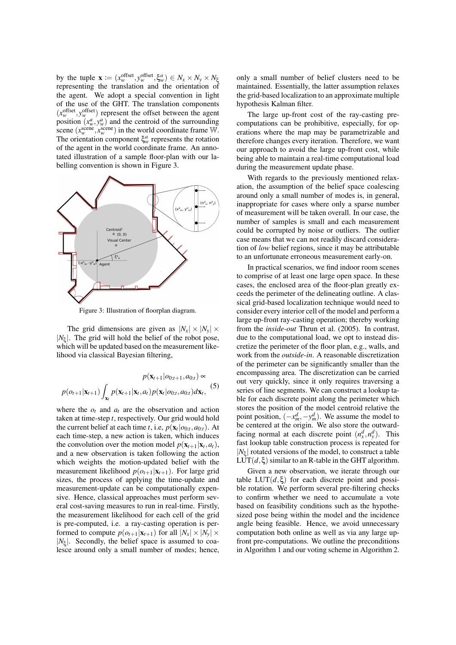by the tuple  $\mathbf{x} := (x_w^{\text{offset}}, y_w^{\text{offset}}, \xi_w^a) \in N_x \times N_y \times N_\xi$ representing the translation and the orientation of the agent. We adopt a special convention in light of the use of the GHT. The translation components  $(x_w^{\text{offset}}, y_w^{\text{offset}})$  represent the offset between the agent position  $(x_w^a, y_w^a)$  and the centroid of the surrounding position  $(x_w, y_w)$  and the centroid of the surfounding<br>scene  $(x_w^{\text{seene}}, x_w^{\text{seene}})$  in the world coordinate frame W. The orientation component  $\xi_w^a$  represents the rotation of the agent in the world coordinate frame. An annotated illustration of a sample floor-plan with our labelling convention is shown in Figure 3.



Figure 3: Illustration of floorplan diagram.

The grid dimensions are given as  $|N_x| \times |N_y| \times$  $|N_{\xi}|$ . The grid will hold the belief of the robot pose, which will be updated based on the measurement likelihood via classical Bayesian filtering,

$$
p(\mathbf{x}_{t+1}|o_{0:t+1}, a_{0:t}) \propto
$$
  
 
$$
p(o_{t+1}|\mathbf{x}_{t+1}) \int_{\mathbf{x}_t} p(\mathbf{x}_{t+1}|\mathbf{x}_t, a_t) p(\mathbf{x}_t|o_{0:t}, a_{0:t}) d\mathbf{x}_t,
$$
 (5)

where the  $o_t$  and  $a_t$  are the observation and action taken at time-step *t*, respectively. Our grid would hold the current belief at each time *t*, i.e,  $p(\mathbf{x}_t|o_{0:t}, a_{0:t})$ . At each time-step, a new action is taken, which induces the convolution over the motion model  $p(\mathbf{x}_{t+1}|\mathbf{x}_t, a_t)$ , and a new observation is taken following the action which weights the motion-updated belief with the measurement likelihood  $p(o_{t+1}|\mathbf{x}_{t+1})$ . For large grid sizes, the process of applying the time-update and measurement-update can be computationally expensive. Hence, classical approaches must perform several cost-saving measures to run in real-time. Firstly, the measurement likelihood for each cell of the grid is pre-computed, i.e. a ray-casting operation is performed to compute  $p(o_{t+1}|\mathbf{x}_{t+1})$  for all  $|N_x| \times |N_y| \times$  $|N_{\xi}|$ . Secondly, the belief space is assumed to coalesce around only a small number of modes; hence,

only a small number of belief clusters need to be maintained. Essentially, the latter assumption relaxes the grid-based localization to an approximate multiple hypothesis Kalman filter.

The large up-front cost of the ray-casting precomputations can be prohibitive, especially, for operations where the map may be parametrizable and therefore changes every iteration. Therefore, we want our approach to avoid the large up-front cost, while being able to maintain a real-time computational load during the measurement update phase.

With regards to the previously mentioned relaxation, the assumption of the belief space coalescing around only a small number of modes is, in general, inappropriate for cases where only a sparse number of measurement will be taken overall. In our case, the number of samples is small and each measurement could be corrupted by noise or outliers. The outlier case means that we can not readily discard consideration of *low* belief regions, since it may be attributable to an unfortunate erroneous measurement early-on.

In practical scenarios, we find indoor room scenes to comprise of at least one large open space. In these cases, the enclosed area of the floor-plan greatly exceeds the perimeter of the delineating outline. A classical grid-based localization technique would need to consider every interior cell of the model and perform a large up-front ray-casting operation; thereby working from the *inside-out* Thrun et al. (2005). In contrast, due to the computational load, we opt to instead discretize the perimeter of the floor plan, e.g., walls, and work from the *outside-in*. A reasonable discretization of the perimeter can be significantly smaller than the encompassing area. The discretization can be carried out very quickly, since it only requires traversing a series of line segments. We can construct a lookup table for each discrete point along the perimeter which stores the position of the model centroid relative the point position,  $(-x_m^d, -y_m^d)$ . We assume the model to be centered at the origin. We also store the outwardfacing normal at each discrete point  $(n_x^d, n_y^d)$ . This fast lookup table construction process is repeated for  $|N_{\xi}|$  rotated versions of the model, to construct a table LUT( $d, \xi$ ) similar to an R-table in the GHT algorithm.

Given a new observation, we iterate through our table  $LUT(d,\xi)$  for each discrete point and possible rotation. We perform several pre-filtering checks to confirm whether we need to accumulate a vote based on feasibility conditions such as the hypothesized pose being within the model and the incidence angle being feasible. Hence, we avoid unnecessary computation both online as well as via any large upfront pre-computations. We outline the preconditions in Algorithm 1 and our voting scheme in Algorithm 2.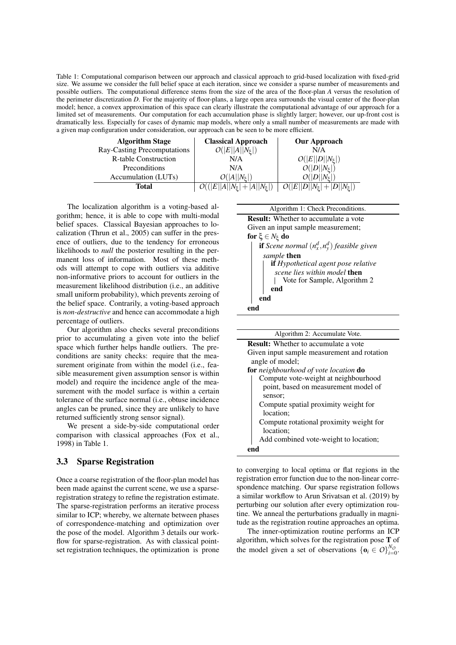Table 1: Computational comparison between our approach and classical approach to grid-based localization with fixed-grid size. We assume we consider the full belief space at each iteration, since we consider a sparse number of measurements and possible outliers. The computational difference stems from the size of the area of the floor-plan *A* versus the resolution of the perimeter discretization *D*. For the majority of floor-plans, a large open area surrounds the visual center of the floor-plan model; hence, a convex approximation of this space can clearly illustrate the computational advantage of our approach for a limited set of measurements. Our computation for each accumulation phase is slightly larger; however, our up-front cost is dramatically less. Especially for cases of dynamic map models, where only a small number of measurements are made with a given map configuration under consideration, our approach can be seen to be more efficient.

| <b>Algorithm Stage</b>      | <b>Classical Approach</b>           | <b>Our Approach</b>                          |
|-----------------------------|-------------------------------------|----------------------------------------------|
| Ray-Casting Precomputations | $O( E  A  N_{\xi} )$                | N/A                                          |
| <b>R-table Construction</b> | N/A                                 | $O( E  D  N_{\xi} )$                         |
| Preconditions               | N/A                                 | $O( D  N_{\xi} )$                            |
| Accumulation (LUTs)         | $O( A  N_{\sharp} )$                | $O( D  N_{\sharp} )$                         |
| Total                       | $O(( E  A  N_{\xi} + A  N_{\xi} ))$ | $\overline{O( E  D  N_{\xi} + D  N_{\xi} )}$ |

The localization algorithm is a voting-based algorithm; hence, it is able to cope with multi-modal belief spaces. Classical Bayesian approaches to localization (Thrun et al., 2005) can suffer in the presence of outliers, due to the tendency for erroneous likelihoods to *null* the posterior resulting in the permanent loss of information. Most of these methods will attempt to cope with outliers via additive non-informative priors to account for outliers in the measurement likelihood distribution (i.e., an additive small uniform probability), which prevents zeroing of the belief space. Contrarily, a voting-based approach is *non-destructive* and hence can accommodate a high percentage of outliers.

Our algorithm also checks several preconditions prior to accumulating a given vote into the belief space which further helps handle outliers. The preconditions are sanity checks: require that the measurement originate from within the model (i.e., feasible measurement given assumption sensor is within model) and require the incidence angle of the measurement with the model surface is within a certain tolerance of the surface normal (i.e., obtuse incidence angles can be pruned, since they are unlikely to have returned sufficiently strong sensor signal).

We present a side-by-side computational order comparison with classical approaches (Fox et al., 1998) in Table 1.

#### 3.3 Sparse Registration

Once a coarse registration of the floor-plan model has been made against the current scene, we use a sparseregistration strategy to refine the registration estimate. The sparse-registration performs an iterative process similar to ICP; whereby, we alternate between phases of correspondence-matching and optimization over the pose of the model. Algorithm 3 details our workflow for sparse-registration. As with classical pointset registration techniques, the optimization is prone



| Algorithm 2: Accumulate Vote.               |  |  |  |  |
|---------------------------------------------|--|--|--|--|
| <b>Result:</b> Whether to accumulate a vote |  |  |  |  |
| Given input sample measurement and rotation |  |  |  |  |
| angle of model;                             |  |  |  |  |
| for neighbourhood of vote location do       |  |  |  |  |
| Compute vote-weight at neighbourhood        |  |  |  |  |
| point, based on measurement model of        |  |  |  |  |
| sensor;                                     |  |  |  |  |
| Compute spatial proximity weight for        |  |  |  |  |
| location:                                   |  |  |  |  |
| Compute rotational proximity weight for     |  |  |  |  |
| location;                                   |  |  |  |  |
| Add combined vote-weight to location;       |  |  |  |  |
|                                             |  |  |  |  |

to converging to local optima or flat regions in the registration error function due to the non-linear correspondence matching. Our sparse registration follows a similar workflow to Arun Srivatsan et al. (2019) by perturbing our solution after every optimization routine. We anneal the perturbations gradually in magnitude as the registration routine approaches an optima.

The inner-optimization routine performs an ICP algorithm, which solves for the registration pose T of the model given a set of observations  $\{\mathbf{o}_i \in O\}_{i=0}^{N_O}$ .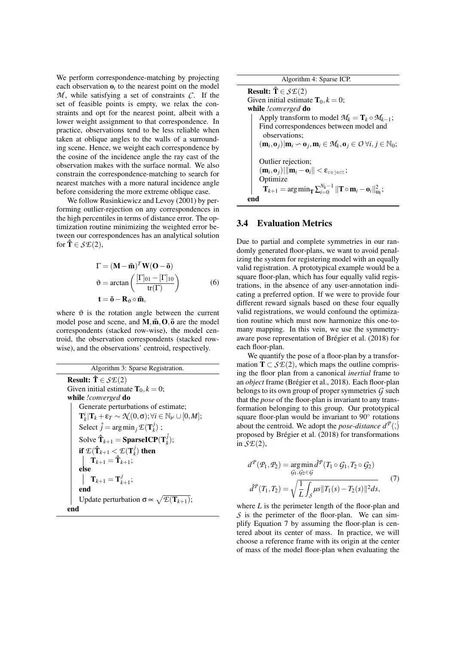We perform correspondence-matching by projecting each observation  $\mathbf{o}_i$  to the nearest point on the model  $M$ , while satisfying a set of constraints  $C$ . If the set of feasible points is empty, we relax the constraints and opt for the nearest point, albeit with a lower weight assignment to that correspondence. In practice, observations tend to be less reliable when taken at oblique angles to the walls of a surrounding scene. Hence, we weight each correspondence by the cosine of the incidence angle the ray cast of the observation makes with the surface normal. We also constrain the correspondence-matching to search for nearest matches with a more natural incidence angle before considering the more extreme oblique case.

We follow Rusinkiewicz and Levoy (2001) by performing outlier-rejection on any correspondences in the high percentiles in terms of distance error. The optimization routine minimizing the weighted error between our correspondences has an analytical solution for  $\mathbf{\hat{T}} \in \mathcal{S}\mathcal{E}(2)$ ,

$$
\Gamma = (\mathbf{M} - \bar{\mathbf{m}})^T \mathbf{W} (\mathbf{O} - \bar{\mathbf{o}})
$$
  
\n
$$
\vartheta = \arctan \left( \frac{[\Gamma]_{01} - [\Gamma]_{10}}{\text{tr}(\Gamma)} \right)
$$
  
\n
$$
\mathbf{t} = \bar{\mathbf{o}} - \mathbf{R}_{\vartheta} \circ \bar{\mathbf{m}},
$$
 (6)

where  $\vartheta$  is the rotation angle between the current model pose and scene, and  $M, \bar{m}, O, \bar{o}$  are the model correspondents (stacked row-wise), the model centroid, the observation correspondents (stacked rowwise), and the observations' centroid, respectively.

| Algorithm 3: Sparse Registration.                                                                                    |  |  |
|----------------------------------------------------------------------------------------------------------------------|--|--|
| <b>Result:</b> $\mathbf{\hat{T}} \in \mathcal{S}\mathcal{E}(2)$                                                      |  |  |
| Given initial estimate $\mathbf{T}_0, k = 0$ ;                                                                       |  |  |
| while !converged do                                                                                                  |  |  |
| Generate perturbations of estimate;                                                                                  |  |  |
| $\mathbf{T}_{k}^{i} \mathbf{T}_{k}+\varepsilon_{T}\sim\mathcal{N}(0,\sigma);\forall i\in\mathbb{N}_{\neq}\cup[0,M];$ |  |  |
| Select $\hat{j} = \arg \min_j \mathcal{E}(\mathbf{T}_k^j)$ ;                                                         |  |  |
| Solve $\mathbf{\hat{T}}_{k+1} = \mathbf{SparseICP}(\mathbf{T}_k^j);$                                                 |  |  |
| if $\mathcal{E}(\hat{\mathbf{T}}_{k+1} < \mathcal{E}(\mathbf{T}_{k}^{j})$ then                                       |  |  |
| ${\bf T}_{k+1} = \hat{\bf T}_{k+1};$                                                                                 |  |  |
| else                                                                                                                 |  |  |
| $\mathbf{T}_{k+1} = \mathbf{T}_{k+1}^j;$                                                                             |  |  |
| end                                                                                                                  |  |  |
| Update perturbation $\sigma \propto \sqrt{\mathcal{E}(\mathbf{T}_{k+1})}$ ;                                          |  |  |
| end                                                                                                                  |  |  |

| Algorithm 4: Sparse ICP.                                                                                                                                           |  |  |  |
|--------------------------------------------------------------------------------------------------------------------------------------------------------------------|--|--|--|
| <b>Result:</b> $\hat{\mathbf{T}} \in \mathcal{S}\mathcal{E}(2)$                                                                                                    |  |  |  |
| Given initial estimate $\mathbf{T}_0, k = 0$ ;                                                                                                                     |  |  |  |
| while <i>!converged</i> do                                                                                                                                         |  |  |  |
| Apply transform to model $\mathcal{M}_k = \mathbf{T}_k \circ \mathcal{M}_{k-1}$ ;                                                                                  |  |  |  |
| Find correspondences between model and                                                                                                                             |  |  |  |
| observations:                                                                                                                                                      |  |  |  |
| $(\mathbf{m}_i, \mathbf{o}_i)   \mathbf{m}_i \backsim \mathbf{o}_i, \mathbf{m}_i \in \mathcal{M}_k, \mathbf{o}_i \in \mathcal{O} \,\forall i, j \in \mathbb{N}_0;$ |  |  |  |
|                                                                                                                                                                    |  |  |  |
| Outlier rejection;                                                                                                                                                 |  |  |  |
| $(\mathbf{m}_i, \mathbf{o}_i)$    $\ \mathbf{m}_i - \mathbf{o}_i\  < \varepsilon_{\text{reject}}$ ;                                                                |  |  |  |
| Optimize                                                                                                                                                           |  |  |  |
| $\mathbf{T}_{k+1} = \arg \min_{\mathbf{T}} \sum_{i=0}^{N_k-1}   \mathbf{T} \circ \mathbf{m}_i - \mathbf{o}_i  _{\mathbf{m}}^2$                                     |  |  |  |
| end                                                                                                                                                                |  |  |  |

#### 3.4 Evaluation Metrics

Due to partial and complete symmetries in our randomly generated floor-plans, we want to avoid penalizing the system for registering model with an equally valid registration. A prototypical example would be a square floor-plan, which has four equally valid registrations, in the absence of any user-annotation indicating a preferred option. If we were to provide four different reward signals based on these four equally valid registrations, we would confound the optimization routine which must now harmonize this one-tomany mapping. In this vein, we use the symmetryaware pose representation of Brégier et al. (2018) for each floor-plan.

We quantify the pose of a floor-plan by a transformation  $T \subset \mathcal{S}E(2)$ , which maps the outline comprising the floor plan from a canonical *inertial* frame to an *object* frame (Brégier et al., 2018). Each floor-plan belongs to its own group of proper symmetries *G* such that the *pose* of the floor-plan is invariant to any transformation belonging to this group. Our prototypical square floor-plan would be invariant to 90° rotations about the centroid. We adopt the *pose-distance*  $d^P$  (;) proposed by Brégier et al. (2018) for transformations in *SE*(2),

$$
d^{T}(P_{1}, P_{2}) = \underset{\mathcal{G}_{1}, \mathcal{G}_{2} \in \mathcal{G}}{\arg \min} \, d^{T}(T_{1} \circ \mathcal{G}_{1}, T_{2} \circ \mathcal{G}_{2})
$$
\n
$$
d^{T}(T_{1}, T_{2}) = \sqrt{\frac{1}{L} \int_{\mathcal{S}} \mu s ||T_{1}(s) - T_{2}(s)||^{2} ds}, \tag{7}
$$

where *L* is the perimeter length of the floor-plan and  $S$  is the perimeter of the floor-plan. We can simplify Equation 7 by assuming the floor-plan is centered about its center of mass. In practice, we will choose a reference frame with its origin at the center of mass of the model floor-plan when evaluating the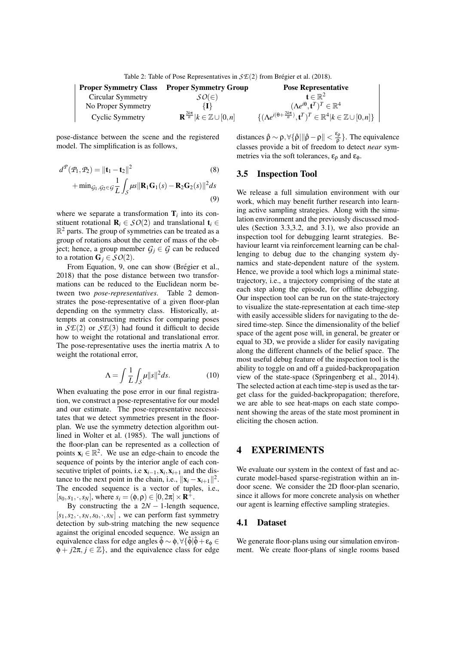| <b>Proper Symmetry Class</b> | <b>Proper Symmetry Group</b>                           | <b>Pose Representative</b>                                                                          |
|------------------------------|--------------------------------------------------------|-----------------------------------------------------------------------------------------------------|
| Circular Symmetry            | $SO(\in)$                                              | $\mathbf{t} \in \mathbb{R}^2$                                                                       |
| No Proper Symmetry           |                                                        | $(\Lambda e^{i\theta}, \mathbf{t}^T)^T \in \mathbb{R}^4$                                            |
| Cyclic Symmetry              | $\mathbf{R}^{\frac{2k\pi}{n}} k\in\mathbb{Z}\cup[0,n]$ | $\{(\Lambda e^{i(\theta+\frac{2k\pi}{n})},\mathbf{t}^T)^T\in\mathbb{R}^4 k\in\mathbb{Z}\cup[0,n]\}$ |

pose-distance between the scene and the registered model. The simplification is as follows,

$$
d^{\mathcal{P}}(\mathcal{P}_1, \mathcal{P}_2) = \|\mathbf{t}_1 - \mathbf{t}_2\|^2
$$
(8)  
+ min<sub>G<sub>1</sub>, G<sub>2</sub>  $\in g \frac{1}{L} \int_S \mu s \|\mathbf{R}_1 \mathbf{G}_1(s) - \mathbf{R}_2 \mathbf{G}_2(s)\|^2 ds$ (9)</sub>

where we separate a transformation  $\mathbf{T}_i$  into its constituent rotational  $\mathbf{R}_i \in \mathcal{SO}(2)$  and translational  $\mathbf{t}_i \in$  $\mathbb{R}^2$  parts. The group of symmetries can be treated as a group of rotations about the center of mass of the object; hence, a group member  $G_i \in G$  can be reduced to a rotation  $\mathbf{G}_i \in \mathcal{SO}(2)$ .

From Equation, 9, one can show (Brégier et al., 2018) that the pose distance between two transformations can be reduced to the Euclidean norm between two *pose-representatives*. Table 2 demonstrates the pose-representative of a given floor-plan depending on the symmetry class. Historically, attempts at constructing metrics for comparing poses in  $\mathcal{S}E(2)$  or  $\mathcal{S}E(3)$  had found it difficult to decide how to weight the rotational and translational error. The pose-representative uses the inertia matrix  $\Lambda$  to weight the rotational error,

$$
\Lambda = \int \frac{1}{L} \int_{S} \mu \|s\|^2 ds. \tag{10}
$$

When evaluating the pose error in our final registration, we construct a pose-representative for our model and our estimate. The pose-representative necessitates that we detect symmetries present in the floorplan. We use the symmetry detection algorithm outlined in Wolter et al. (1985). The wall junctions of the floor-plan can be represented as a collection of points  $\mathbf{x}_i \in \mathbb{R}^2$ . We use an edge-chain to encode the sequence of points by the interior angle of each consecutive triplet of points, i.e  $\mathbf{x}_{i-1}, \mathbf{x}_i, \mathbf{x}_{i+1}$  and the distance to the next point in the chain, i.e.,  $||\mathbf{x}_i - \mathbf{x}_{i+1}||^2$ . The encoded sequence is a vector of tuples, i.e.,  $[s_0, s_1, \cdot, s_N]$ , where  $s_i = (\phi, \rho) \in [0, 2\pi] \times \mathbb{R}^+$ .

By constructing the a  $2N - 1$ -length sequence,  $[s_1, s_2, \cdot, s_N, s_0, \cdot, s_N]$ , we can perform fast symmetry detection by sub-string matching the new sequence against the original encoded sequence. We assign an equivalence class for edge angles  $\hat{\phi} \sim \phi$ ,  $\forall {\hat{\phi}}|\hat{\phi} + \varepsilon_{\phi} \in$  $\phi + i2\pi, i \in \mathbb{Z}$ , and the equivalence class for edge

distances  $\hat{\rho} \sim \rho, \forall \{\hat{\rho} | \|\hat{\rho} - \rho\| < \frac{\varepsilon_{\rho}}{\rho}$  $\frac{\epsilon_{\rho}}{\rho}$ . The equivalence classes provide a bit of freedom to detect *near* symmetries via the soft tolerances,  $\varepsilon_0$  and  $\varepsilon_{\phi}$ .

#### 3.5 Inspection Tool

We release a full simulation environment with our work, which may benefit further research into learning active sampling strategies. Along with the simulation environment and the previously discussed modules (Section 3.3,3.2, and 3.1), we also provide an inspection tool for debugging learnt strategies. Behaviour learnt via reinforcement learning can be challenging to debug due to the changing system dynamics and state-dependent nature of the system. Hence, we provide a tool which logs a minimal statetrajectory, i.e., a trajectory comprising of the state at each step along the episode, for offline debugging. Our inspection tool can be run on the state-trajectory to visualize the state-representation at each time-step with easily accessible sliders for navigating to the desired time-step. Since the dimensionality of the belief space of the agent pose will, in general, be greater or equal to 3D, we provide a slider for easily navigating along the different channels of the belief space. The most useful debug feature of the inspection tool is the ability to toggle on and off a guided-backpropagation view of the state-space (Springenberg et al., 2014). The selected action at each time-step is used as the target class for the guided-backpropagation; therefore, we are able to see heat-maps on each state component showing the areas of the state most prominent in eliciting the chosen action.

## 4 EXPERIMENTS

We evaluate our system in the context of fast and accurate model-based sparse-registration within an indoor scene. We consider the 2D floor-plan scenario, since it allows for more concrete analysis on whether our agent is learning effective sampling strategies.

#### 4.1 Dataset

We generate floor-plans using our simulation environment. We create floor-plans of single rooms based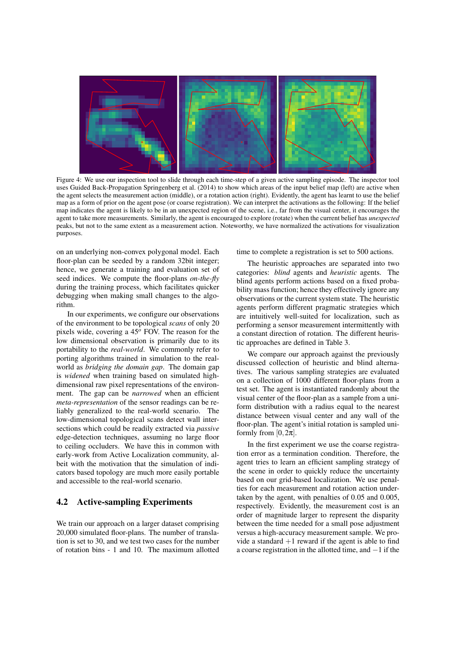

Figure 4: We use our inspection tool to slide through each time-step of a given active sampling episode. The inspector tool uses Guided Back-Propagation Springenberg et al. (2014) to show which areas of the input belief map (left) are active when the agent selects the measurement action (middle), or a rotation action (right). Evidently, the agent has learnt to use the belief map as a form of prior on the agent pose (or coarse registration). We can interpret the activations as the following: If the belief map indicates the agent is likely to be in an unexpected region of the scene, i.e., far from the visual center, it encourages the agent to take more measurements. Similarly, the agent is encouraged to explore (rotate) when the current belief has *unexpected* peaks, but not to the same extent as a measurement action. Noteworthy, we have normalized the activations for visualization purposes.

on an underlying non-convex polygonal model. Each floor-plan can be seeded by a random 32bit integer; hence, we generate a training and evaluation set of seed indices. We compute the floor-plans *on-the-fly* during the training process, which facilitates quicker debugging when making small changes to the algorithm.

In our experiments, we configure our observations of the environment to be topological *scans* of only 20 pixels wide, covering a 45*<sup>o</sup>* FOV. The reason for the low dimensional observation is primarily due to its portability to the *real-world*. We commonly refer to porting algorithms trained in simulation to the realworld as *bridging the domain gap*. The domain gap is *widened* when training based on simulated highdimensional raw pixel representations of the environment. The gap can be *narrowed* when an efficient *meta-representation* of the sensor readings can be reliably generalized to the real-world scenario. The low-dimensional topological scans detect wall intersections which could be readily extracted via *passive* edge-detection techniques, assuming no large floor to ceiling occluders. We have this in common with early-work from Active Localization community, albeit with the motivation that the simulation of indicators based topology are much more easily portable and accessible to the real-world scenario.

### 4.2 Active-sampling Experiments

We train our approach on a larger dataset comprising 20,000 simulated floor-plans. The number of translation is set to 30, and we test two cases for the number of rotation bins - 1 and 10. The maximum allotted time to complete a registration is set to 500 actions.

The heuristic approaches are separated into two categories: *blind* agents and *heuristic* agents. The blind agents perform actions based on a fixed probability mass function; hence they effectively ignore any observations or the current system state. The heuristic agents perform different pragmatic strategies which are intuitively well-suited for localization, such as performing a sensor measurement intermittently with a constant direction of rotation. The different heuristic approaches are defined in Table 3.

We compare our approach against the previously discussed collection of heuristic and blind alternatives. The various sampling strategies are evaluated on a collection of 1000 different floor-plans from a test set. The agent is instantiated randomly about the visual center of the floor-plan as a sample from a uniform distribution with a radius equal to the nearest distance between visual center and any wall of the floor-plan. The agent's initial rotation is sampled uniformly from  $[0,2\pi]$ .

In the first experiment we use the coarse registration error as a termination condition. Therefore, the agent tries to learn an efficient sampling strategy of the scene in order to quickly reduce the uncertainty based on our grid-based localization. We use penalties for each measurement and rotation action undertaken by the agent, with penalties of 0.05 and 0.005, respectively. Evidently, the measurement cost is an order of magnitude larger to represent the disparity between the time needed for a small pose adjustment versus a high-accuracy measurement sample. We provide a standard  $+1$  reward if the agent is able to find a coarse registration in the allotted time, and −1 if the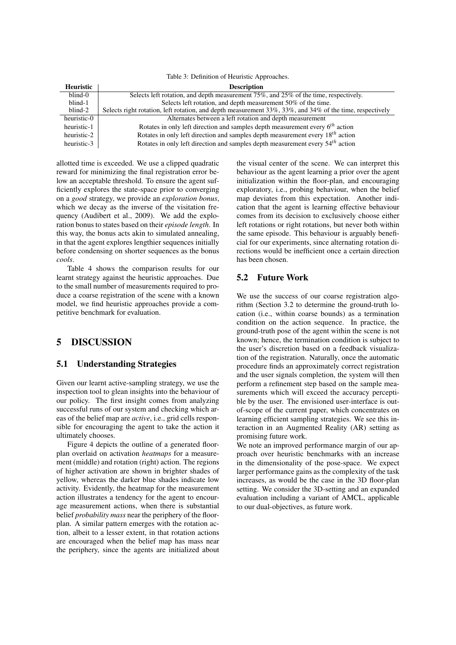| Heuristic   | <b>Description</b>                                                                                       |
|-------------|----------------------------------------------------------------------------------------------------------|
| blind-0     | Selects left rotation, and depth measurement $75\%$ , and $25\%$ of the time, respectively.              |
| blind-1     | Selects left rotation, and depth measurement 50% of the time.                                            |
| blind-2     | Selects right rotation, left rotation, and depth measurement 33%, 33%, and 34% of the time, respectively |
| heuristic-0 | Alternates between a left rotation and depth measurement                                                 |
| heuristic-1 | Rotates in only left direction and samples depth measurement every $6th$ action                          |
| heuristic-2 | Rotates in only left direction and samples depth measurement every $18^{th}$ action                      |
| heuristic-3 | Rotates in only left direction and samples depth measurement every 54 <sup>th</sup> action               |

allotted time is exceeded. We use a clipped quadratic reward for minimizing the final registration error below an acceptable threshold. To ensure the agent sufficiently explores the state-space prior to converging on a *good* strategy, we provide an *exploration bonus*, which we decay as the inverse of the visitation frequency (Audibert et al., 2009). We add the exploration bonus to states based on their *episode length*. In this way, the bonus acts akin to simulated annealing, in that the agent explores lengthier sequences initially before condensing on shorter sequences as the bonus *cools*.

Table 4 shows the comparison results for our learnt strategy against the heuristic approaches. Due to the small number of measurements required to produce a coarse registration of the scene with a known model, we find heuristic approaches provide a competitive benchmark for evaluation.

## 5 DISCUSSION

## 5.1 Understanding Strategies

Given our learnt active-sampling strategy, we use the inspection tool to glean insights into the behaviour of our policy. The first insight comes from analyzing successful runs of our system and checking which areas of the belief map are *active*, i.e., grid cells responsible for encouraging the agent to take the action it ultimately chooses.

Figure 4 depicts the outline of a generated floorplan overlaid on activation *heatmaps* for a measurement (middle) and rotation (right) action. The regions of higher activation are shown in brighter shades of yellow, whereas the darker blue shades indicate low activity. Evidently, the heatmap for the measurement action illustrates a tendency for the agent to encourage measurement actions, when there is substantial belief *probability mass* near the periphery of the floorplan. A similar pattern emerges with the rotation action, albeit to a lesser extent, in that rotation actions are encouraged when the belief map has mass near the periphery, since the agents are initialized about

the visual center of the scene. We can interpret this behaviour as the agent learning a prior over the agent initialization within the floor-plan, and encouraging exploratory, i.e., probing behaviour, when the belief map deviates from this expectation. Another indication that the agent is learning effective behaviour comes from its decision to exclusively choose either left rotations or right rotations, but never both within the same episode. This behaviour is arguably beneficial for our experiments, since alternating rotation directions would be inefficient once a certain direction has been chosen.

#### 5.2 Future Work

We use the success of our coarse registration algorithm (Section 3.2 to determine the ground-truth location (i.e., within coarse bounds) as a termination condition on the action sequence. In practice, the ground-truth pose of the agent within the scene is not known; hence, the termination condition is subject to the user's discretion based on a feedback visualization of the registration. Naturally, once the automatic procedure finds an approximately correct registration and the user signals completion, the system will then perform a refinement step based on the sample measurements which will exceed the accuracy perceptible by the user. The envisioned user-interface is outof-scope of the current paper, which concentrates on learning efficient sampling strategies. We see this interaction in an Augmented Reality (AR) setting as promising future work.

We note an improved performance margin of our approach over heuristic benchmarks with an increase in the dimensionality of the pose-space. We expect larger performance gains as the complexity of the task increases, as would be the case in the 3D floor-plan setting. We consider the 3D-setting and an expanded evaluation including a variant of AMCL, applicable to our dual-objectives, as future work.